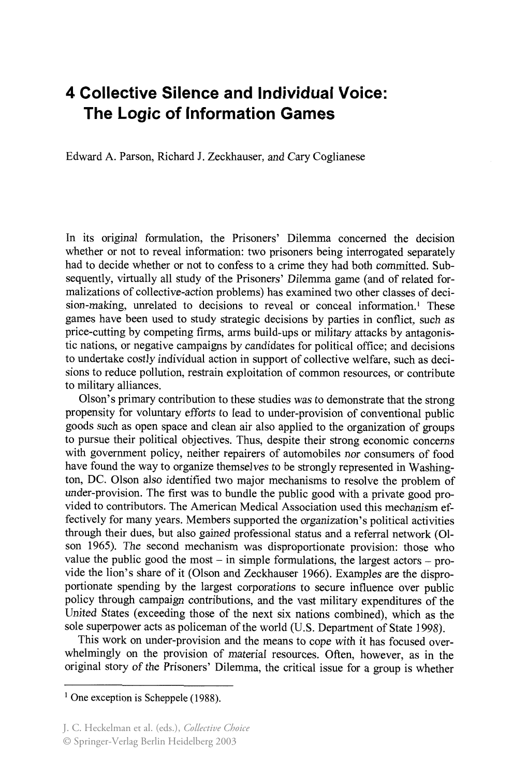## **4 Collective Silence and Individual Voice: The Logic of Information Games**

Edward A. Parson, Richard J. Zeckhauser, and Cary Coglianese

In its original formulation, the Prisoners' Dilemma concerned the decision whether or not to reveal information: two prisoners being interrogated separately had to decide whether or not to confess to a crime they had both committed. Subsequently, virtually all study of the Prisoners' Dilemma game (and of related formalizations of collective-action problems) has examined two other classes of decision-making, unrelated to decisions to reveal or conceal information.<sup>1</sup> These games have been used to study strategic decisions by parties in conflict, such as price-cutting by competing firms, arms build-ups or military attacks by antagonistic nations, or negative campaigns by candidates for political office; and decisions to undertake costly individual action in support of collective welfare, such as decisions to reduce pollution, restrain exploitation of common resources, or contribute to military alliances.

Olson's primary contribution to these studies was to demonstrate that the strong propensity for voluntary efforts to lead to under-provision of conventional public goods such as open space and clean air also applied to the organization of groups to pursue their political objectives. Thus, despite their strong economic concerns with government policy, neither repairers of automobiles nor consumers of food have found the way to organize themselves to be strongly represented in Washington, DC. Olson also identified two major mechanisms to resolve the problem of under-provision. The first was to bundle the public good with a private good provided to contributors. The American Medical Association used this mechanism effectively for many years. Members supported the organization's political activities through their dues, but also gained professional status and a referral network (Olson 1965). The second mechanism was disproportionate provision: those who value the public good the most  $-$  in simple formulations, the largest actors  $-$  provide the lion's share of it (Olson and Zeckhauser 1966). Examples are the disproportionate spending by the largest corporations to secure influence over public policy through campaign contributions, and the vast military expenditures of the United States (exceeding those of the next six nations combined), which as the sole superpower acts as policeman of the world (U.S. Department of State 1998).

This work on under-provision and the means to cope with it has focused overwhelmingly on the provision of material resources. Often, however, as in the original story of the Prisoners' Dilemma, the critical issue for a group is whether

 $<sup>1</sup>$  One exception is Scheppele (1988).</sup>

J. C. Heckelman et al. (eds.), *Collective Choice*

<sup>©</sup> Springer-Verlag Berlin Heidelberg 2003